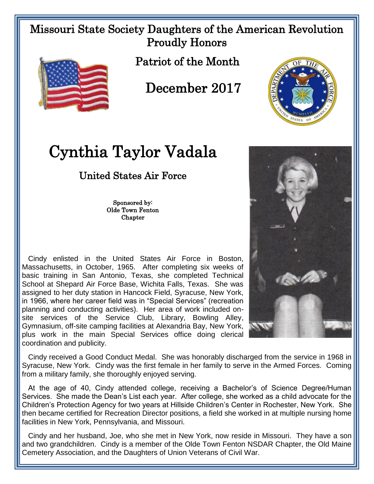## Missouri State Society Daughters of the American Revolution Proudly Honors



Patriot of the Month

December 2017



## Cynthia Taylor Vadala

## United States Air Force

Sponsored by: Olde Town Fenton **Chapter** 

 Cindy enlisted in the United States Air Force in Boston, Massachusetts, in October, 1965. After completing six weeks of basic training in San Antonio, Texas, she completed Technical School at Shepard Air Force Base, Wichita Falls, Texas. She was assigned to her duty station in Hancock Field, Syracuse, New York, in 1966, where her career field was in "Special Services" (recreation planning and conducting activities). Her area of work included onsite services of the Service Club, Library, Bowling Alley, Gymnasium, off-site camping facilities at Alexandria Bay, New York, plus work in the main Special Services office doing clerical coordination and publicity.

 Cindy received a Good Conduct Medal. She was honorably discharged from the service in 1968 in Syracuse, New York. Cindy was the first female in her family to serve in the Armed Forces. Coming from a military family, she thoroughly enjoyed serving.

 At the age of 40, Cindy attended college, receiving a Bachelor's of Science Degree/Human Services. She made the Dean's List each year. After college, she worked as a child advocate for the Children's Protection Agency for two years at Hillside Children's Center in Rochester, New York. She then became certified for Recreation Director positions, a field she worked in at multiple nursing home facilities in New York, Pennsylvania, and Missouri.

 Cindy and her husband, Joe, who she met in New York, now reside in Missouri. They have a son and two grandchildren. Cindy is a member of the Olde Town Fenton NSDAR Chapter, the Old Maine Cemetery Association, and the Daughters of Union Veterans of Civil War.